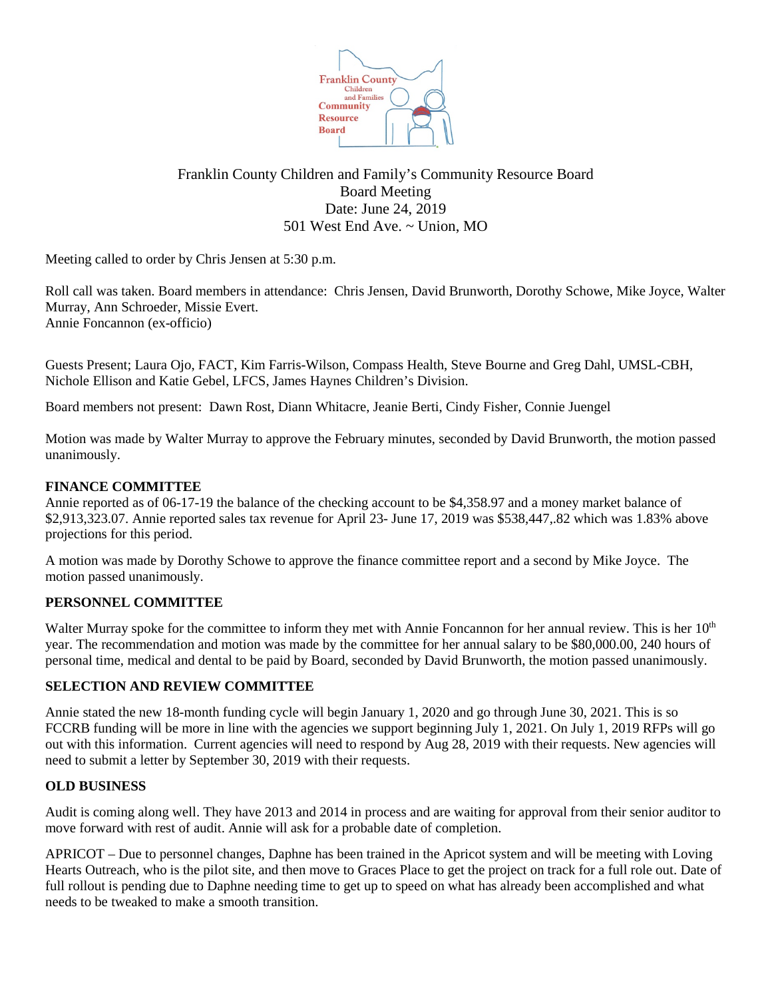

# Franklin County Children and Family's Community Resource Board Board Meeting Date: June 24, 2019 501 West End Ave. ~ Union, MO

Meeting called to order by Chris Jensen at 5:30 p.m.

Roll call was taken. Board members in attendance: Chris Jensen, David Brunworth, Dorothy Schowe, Mike Joyce, Walter Murray, Ann Schroeder, Missie Evert. Annie Foncannon (ex-officio)

Guests Present; Laura Ojo, FACT, Kim Farris-Wilson, Compass Health, Steve Bourne and Greg Dahl, UMSL-CBH, Nichole Ellison and Katie Gebel, LFCS, James Haynes Children's Division.

Board members not present: Dawn Rost, Diann Whitacre, Jeanie Berti, Cindy Fisher, Connie Juengel

Motion was made by Walter Murray to approve the February minutes, seconded by David Brunworth, the motion passed unanimously.

### **FINANCE COMMITTEE**

Annie reported as of 06-17-19 the balance of the checking account to be \$4,358.97 and a money market balance of \$2,913,323.07. Annie reported sales tax revenue for April 23- June 17, 2019 was \$538,447,.82 which was 1.83% above projections for this period.

A motion was made by Dorothy Schowe to approve the finance committee report and a second by Mike Joyce. The motion passed unanimously.

# **PERSONNEL COMMITTEE**

Walter Murray spoke for the committee to inform they met with Annie Foncannon for her annual review. This is her 10<sup>th</sup> year. The recommendation and motion was made by the committee for her annual salary to be \$80,000.00, 240 hours of personal time, medical and dental to be paid by Board, seconded by David Brunworth, the motion passed unanimously.

# **SELECTION AND REVIEW COMMITTEE**

Annie stated the new 18-month funding cycle will begin January 1, 2020 and go through June 30, 2021. This is so FCCRB funding will be more in line with the agencies we support beginning July 1, 2021. On July 1, 2019 RFPs will go out with this information. Current agencies will need to respond by Aug 28, 2019 with their requests. New agencies will need to submit a letter by September 30, 2019 with their requests.

#### **OLD BUSINESS**

Audit is coming along well. They have 2013 and 2014 in process and are waiting for approval from their senior auditor to move forward with rest of audit. Annie will ask for a probable date of completion.

APRICOT – Due to personnel changes, Daphne has been trained in the Apricot system and will be meeting with Loving Hearts Outreach, who is the pilot site, and then move to Graces Place to get the project on track for a full role out. Date of full rollout is pending due to Daphne needing time to get up to speed on what has already been accomplished and what needs to be tweaked to make a smooth transition.